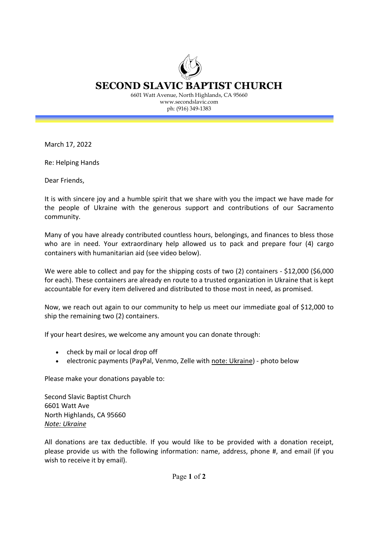SECOND SLAVIC BAPTIST CHURCH 6601 Watt Avenue, North Highlands, CA 95660 www.secondslavic.com

ph: (916) 349-1383

March 17, 2022

Re: Helping Hands

Dear Friends,

It is with sincere joy and a humble spirit that we share with you the impact we have made for the people of Ukraine with the generous support and contributions of our Sacramento community.

Many of you have already contributed countless hours, belongings, and finances to bless those who are in need. Your extraordinary help allowed us to pack and prepare four (4) cargo containers with humanitarian aid (see video below).

We were able to collect and pay for the shipping costs of two (2) containers - \$12,000 (\$6,000 for each). These containers are already en route to a trusted organization in Ukraine that is kept accountable for every item delivered and distributed to those most in need, as promised.

Now, we reach out again to our community to help us meet our immediate goal of \$12,000 to ship the remaining two (2) containers.

If your heart desires, we welcome any amount you can donate through:

- check by mail or local drop off
- electronic payments (PayPal, Venmo, Zelle with note: Ukraine) photo below

Please make your donations payable to:

Second Slavic Baptist Church 6601 Watt Ave North Highlands, CA 95660 Note: Ukraine

All donations are tax deductible. If you would like to be provided with a donation receipt, please provide us with the following information: name, address, phone #, and email (if you wish to receive it by email).